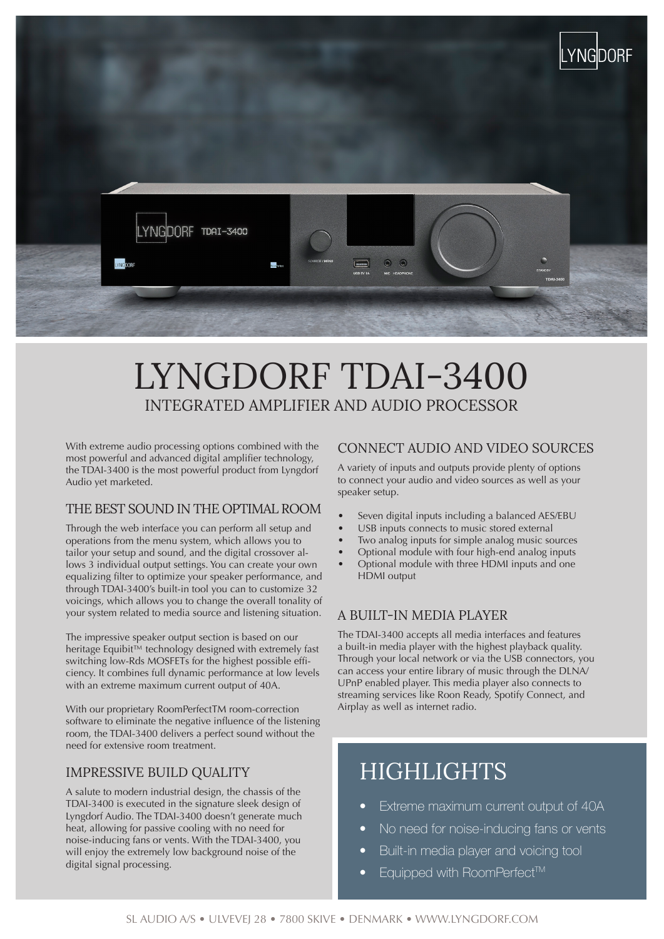

# LYNGDORF TDAI-3400 INTEGRATED AMPLIFIER AND AUDIO PROCESSOR

With extreme audio processing options combined with the most powerful and advanced digital amplifier technology, the TDAI-3400 is the most powerful product from Lyngdorf Audio yet marketed.

#### THE BEST SOUND IN THE OPTIMAL ROOM

Through the web interface you can perform all setup and operations from the menu system, which allows you to tailor your setup and sound, and the digital crossover allows 3 individual output settings. You can create your own equalizing filter to optimize your speaker performance, and through TDAI-3400's built-in tool you can to customize 32 voicings, which allows you to change the overall tonality of your system related to media source and listening situation.

The impressive speaker output section is based on our heritage Equibit™ technology designed with extremely fast switching low-Rds MOSFETs for the highest possible efficiency. It combines full dynamic performance at low levels with an extreme maximum current output of 40A.

With our proprietary RoomPerfectTM room-correction software to eliminate the negative influence of the listening room, the TDAI-3400 delivers a perfect sound without the need for extensive room treatment.

#### IMPRESSIVE BUILD QUALITY

A salute to modern industrial design, the chassis of the TDAI-3400 is executed in the signature sleek design of Lyngdorf Audio. The TDAI-3400 doesn't generate much heat, allowing for passive cooling with no need for noise-inducing fans or vents. With the TDAI-3400, you will enjoy the extremely low background noise of the digital signal processing.

#### CONNECT AUDIO AND VIDEO SOURCES

A variety of inputs and outputs provide plenty of options to connect your audio and video sources as well as your speaker setup.

- Seven digital inputs including a balanced AES/EBU
- USB inputs connects to music stored external
- Two analog inputs for simple analog music sources
- Optional module with four high-end analog inputs
- Optional module with three HDMI inputs and one HDMI output

#### A BUILT-IN MEDIA PLAYER

The TDAI-3400 accepts all media interfaces and features a built-in media player with the highest playback quality. Through your local network or via the USB connectors, you can access your entire library of music through the DLNA/ UPnP enabled player. This media player also connects to streaming services like Roon Ready, Spotify Connect, and Airplay as well as internet radio.

## HIGHLIGHTS

- Extreme maximum current output of 40A
- No need for noise-inducing fans or vents
- Built-in media player and voicing tool
- Equipped with RoomPerfect™